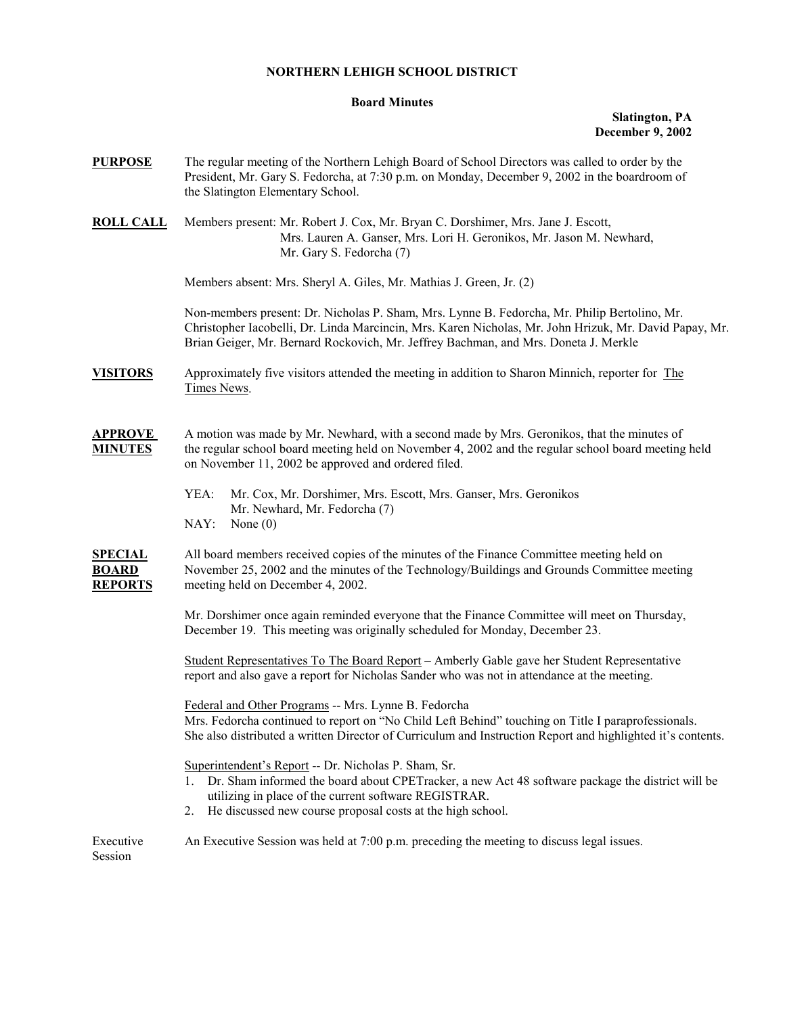## **NORTHERN LEHIGH SCHOOL DISTRICT**

## **Board Minutes**

## **Slatington, PA December 9, 2002**

| <b>PURPOSE</b>                                   | The regular meeting of the Northern Lehigh Board of School Directors was called to order by the<br>President, Mr. Gary S. Fedorcha, at 7:30 p.m. on Monday, December 9, 2002 in the boardroom of<br>the Slatington Elementary School.                                                         |  |  |  |  |
|--------------------------------------------------|-----------------------------------------------------------------------------------------------------------------------------------------------------------------------------------------------------------------------------------------------------------------------------------------------|--|--|--|--|
| <b>ROLL CALL</b>                                 | Members present: Mr. Robert J. Cox, Mr. Bryan C. Dorshimer, Mrs. Jane J. Escott,<br>Mrs. Lauren A. Ganser, Mrs. Lori H. Geronikos, Mr. Jason M. Newhard,<br>Mr. Gary S. Fedorcha (7)                                                                                                          |  |  |  |  |
|                                                  | Members absent: Mrs. Sheryl A. Giles, Mr. Mathias J. Green, Jr. (2)                                                                                                                                                                                                                           |  |  |  |  |
|                                                  | Non-members present: Dr. Nicholas P. Sham, Mrs. Lynne B. Fedorcha, Mr. Philip Bertolino, Mr.<br>Christopher Iacobelli, Dr. Linda Marcincin, Mrs. Karen Nicholas, Mr. John Hrizuk, Mr. David Papay, Mr.<br>Brian Geiger, Mr. Bernard Rockovich, Mr. Jeffrey Bachman, and Mrs. Doneta J. Merkle |  |  |  |  |
| <b>VISITORS</b>                                  | Approximately five visitors attended the meeting in addition to Sharon Minnich, reporter for The<br>Times News.                                                                                                                                                                               |  |  |  |  |
| <b>APPROVE</b><br><b>MINUTES</b>                 | A motion was made by Mr. Newhard, with a second made by Mrs. Geronikos, that the minutes of<br>the regular school board meeting held on November 4, 2002 and the regular school board meeting held<br>on November 11, 2002 be approved and ordered filed.                                     |  |  |  |  |
|                                                  | YEA:<br>Mr. Cox, Mr. Dorshimer, Mrs. Escott, Mrs. Ganser, Mrs. Geronikos<br>Mr. Newhard, Mr. Fedorcha (7)<br>NAY:<br>None $(0)$                                                                                                                                                               |  |  |  |  |
| <b>SPECIAL</b><br><b>BOARD</b><br><b>REPORTS</b> | All board members received copies of the minutes of the Finance Committee meeting held on<br>November 25, 2002 and the minutes of the Technology/Buildings and Grounds Committee meeting<br>meeting held on December 4, 2002.                                                                 |  |  |  |  |
|                                                  | Mr. Dorshimer once again reminded everyone that the Finance Committee will meet on Thursday,<br>December 19. This meeting was originally scheduled for Monday, December 23.                                                                                                                   |  |  |  |  |
|                                                  | Student Representatives To The Board Report - Amberly Gable gave her Student Representative<br>report and also gave a report for Nicholas Sander who was not in attendance at the meeting.                                                                                                    |  |  |  |  |
|                                                  | Federal and Other Programs -- Mrs. Lynne B. Fedorcha<br>Mrs. Fedorcha continued to report on "No Child Left Behind" touching on Title I paraprofessionals.<br>She also distributed a written Director of Curriculum and Instruction Report and highlighted it's contents.                     |  |  |  |  |
|                                                  | Superintendent's Report -- Dr. Nicholas P. Sham, Sr.<br>1. Dr. Sham informed the board about CPETracker, a new Act 48 software package the district will be<br>utilizing in place of the current software REGISTRAR.<br>He discussed new course proposal costs at the high school.<br>2.      |  |  |  |  |
| Executive<br>Session                             | An Executive Session was held at 7:00 p.m. preceding the meeting to discuss legal issues.                                                                                                                                                                                                     |  |  |  |  |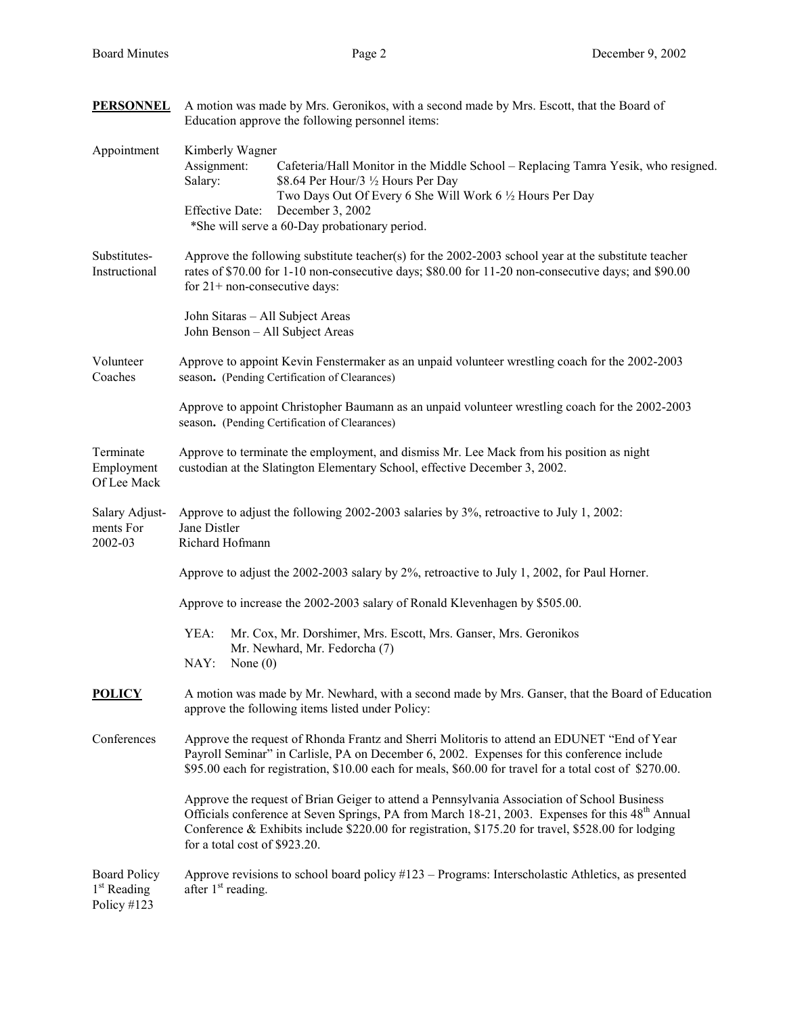| <b>PERSONNEL</b>                                              | A motion was made by Mrs. Geronikos, with a second made by Mrs. Escott, that the Board of<br>Education approve the following personnel items:                                                                                                                                                                                                     |  |  |  |  |
|---------------------------------------------------------------|---------------------------------------------------------------------------------------------------------------------------------------------------------------------------------------------------------------------------------------------------------------------------------------------------------------------------------------------------|--|--|--|--|
| Appointment                                                   | Kimberly Wagner<br>Assignment:<br>Cafeteria/Hall Monitor in the Middle School – Replacing Tamra Yesik, who resigned.<br>Salary:<br>\$8.64 Per Hour/3 1/2 Hours Per Day<br>Two Days Out Of Every 6 She Will Work 6 1/2 Hours Per Day<br>December 3, 2002<br><b>Effective Date:</b><br>*She will serve a 60-Day probationary period.                |  |  |  |  |
| Substitutes-<br>Instructional                                 | Approve the following substitute teacher(s) for the $2002-2003$ school year at the substitute teacher<br>rates of \$70.00 for 1-10 non-consecutive days; \$80.00 for 11-20 non-consecutive days; and \$90.00<br>for $21+$ non-consecutive days:                                                                                                   |  |  |  |  |
|                                                               | John Sitaras - All Subject Areas<br>John Benson - All Subject Areas                                                                                                                                                                                                                                                                               |  |  |  |  |
| Volunteer<br>Coaches                                          | Approve to appoint Kevin Fenstermaker as an unpaid volunteer wrestling coach for the 2002-2003<br>season. (Pending Certification of Clearances)                                                                                                                                                                                                   |  |  |  |  |
|                                                               | Approve to appoint Christopher Baumann as an unpaid volunteer wrestling coach for the 2002-2003<br>season. (Pending Certification of Clearances)                                                                                                                                                                                                  |  |  |  |  |
| Terminate<br>Employment<br>Of Lee Mack                        | Approve to terminate the employment, and dismiss Mr. Lee Mack from his position as night<br>custodian at the Slatington Elementary School, effective December 3, 2002.                                                                                                                                                                            |  |  |  |  |
| Salary Adjust-<br>ments For<br>2002-03                        | Approve to adjust the following 2002-2003 salaries by 3%, retroactive to July 1, 2002:<br>Jane Distler<br>Richard Hofmann                                                                                                                                                                                                                         |  |  |  |  |
|                                                               | Approve to adjust the 2002-2003 salary by 2%, retroactive to July 1, 2002, for Paul Horner.                                                                                                                                                                                                                                                       |  |  |  |  |
|                                                               | Approve to increase the 2002-2003 salary of Ronald Klevenhagen by \$505.00.                                                                                                                                                                                                                                                                       |  |  |  |  |
|                                                               | YEA:<br>Mr. Cox, Mr. Dorshimer, Mrs. Escott, Mrs. Ganser, Mrs. Geronikos<br>Mr. Newhard, Mr. Fedorcha (7)<br>NAY:<br>None $(0)$                                                                                                                                                                                                                   |  |  |  |  |
| <b>POLICY</b>                                                 | A motion was made by Mr. Newhard, with a second made by Mrs. Ganser, that the Board of Education<br>approve the following items listed under Policy:                                                                                                                                                                                              |  |  |  |  |
| Conferences                                                   | Approve the request of Rhonda Frantz and Sherri Molitoris to attend an EDUNET "End of Year<br>Payroll Seminar" in Carlisle, PA on December 6, 2002. Expenses for this conference include<br>\$95.00 each for registration, \$10.00 each for meals, \$60.00 for travel for a total cost of \$270.00.                                               |  |  |  |  |
|                                                               | Approve the request of Brian Geiger to attend a Pennsylvania Association of School Business<br>Officials conference at Seven Springs, PA from March 18-21, 2003. Expenses for this 48 <sup>th</sup> Annual<br>Conference & Exhibits include \$220.00 for registration, \$175.20 for travel, \$528.00 for lodging<br>for a total cost of \$923.20. |  |  |  |  |
| <b>Board Policy</b><br>1 <sup>st</sup> Reading<br>Policy #123 | Approve revisions to school board policy #123 – Programs: Interscholastic Athletics, as presented<br>after 1 <sup>st</sup> reading.                                                                                                                                                                                                               |  |  |  |  |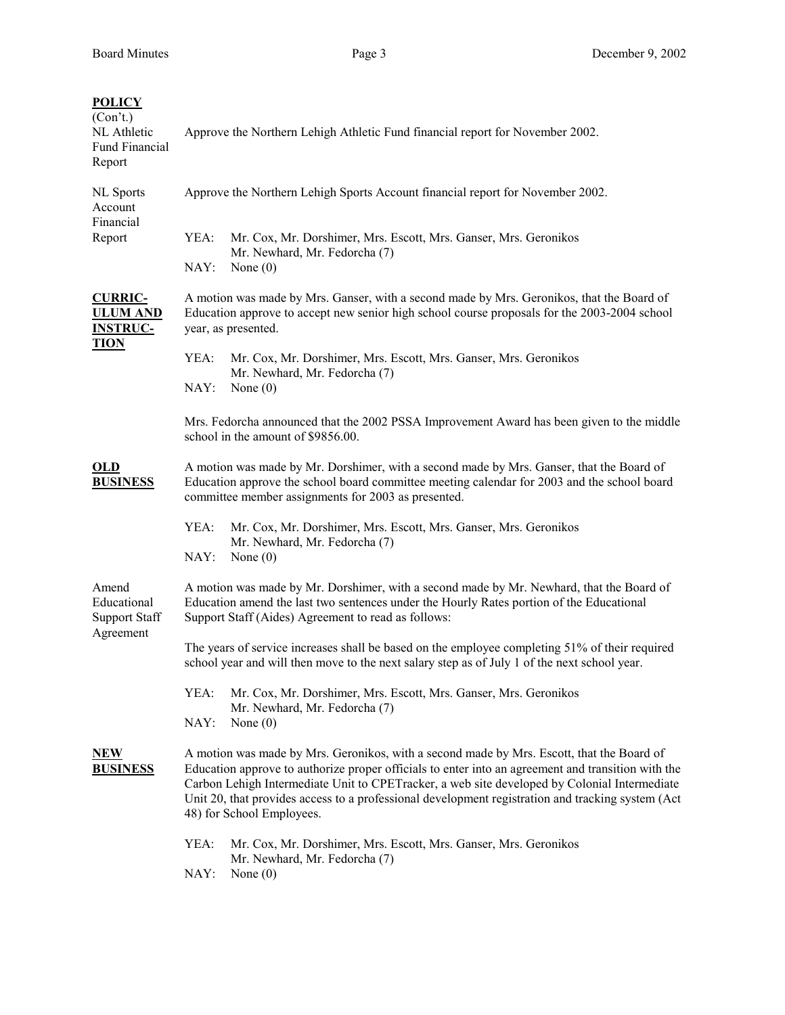| <b>POLICY</b><br>(Con't.)<br>NL Athletic<br><b>Fund Financial</b><br>Report | Approve the Northern Lehigh Athletic Fund financial report for November 2002.                                                                                                                                                                                                                                                                                                                                                                           |  |  |  |  |
|-----------------------------------------------------------------------------|---------------------------------------------------------------------------------------------------------------------------------------------------------------------------------------------------------------------------------------------------------------------------------------------------------------------------------------------------------------------------------------------------------------------------------------------------------|--|--|--|--|
| <b>NL</b> Sports<br>Account                                                 | Approve the Northern Lehigh Sports Account financial report for November 2002.                                                                                                                                                                                                                                                                                                                                                                          |  |  |  |  |
| Financial<br>Report                                                         | YEA:<br>Mr. Cox, Mr. Dorshimer, Mrs. Escott, Mrs. Ganser, Mrs. Geronikos<br>Mr. Newhard, Mr. Fedorcha (7)<br>NAY:<br>None $(0)$                                                                                                                                                                                                                                                                                                                         |  |  |  |  |
| <b>CURRIC-</b><br><b>ULUM AND</b><br><b>INSTRUC-</b>                        | A motion was made by Mrs. Ganser, with a second made by Mrs. Geronikos, that the Board of<br>Education approve to accept new senior high school course proposals for the 2003-2004 school<br>year, as presented.                                                                                                                                                                                                                                        |  |  |  |  |
| <b>TION</b>                                                                 | YEA:<br>Mr. Cox, Mr. Dorshimer, Mrs. Escott, Mrs. Ganser, Mrs. Geronikos<br>Mr. Newhard, Mr. Fedorcha (7)<br>NAY:<br>None $(0)$                                                                                                                                                                                                                                                                                                                         |  |  |  |  |
|                                                                             | Mrs. Fedorcha announced that the 2002 PSSA Improvement Award has been given to the middle<br>school in the amount of \$9856.00.                                                                                                                                                                                                                                                                                                                         |  |  |  |  |
| OLD<br><b>BUSINESS</b>                                                      | A motion was made by Mr. Dorshimer, with a second made by Mrs. Ganser, that the Board of<br>Education approve the school board committee meeting calendar for 2003 and the school board<br>committee member assignments for 2003 as presented.                                                                                                                                                                                                          |  |  |  |  |
|                                                                             | YEA:<br>Mr. Cox, Mr. Dorshimer, Mrs. Escott, Mrs. Ganser, Mrs. Geronikos<br>Mr. Newhard, Mr. Fedorcha (7)<br>NAY:<br>None $(0)$                                                                                                                                                                                                                                                                                                                         |  |  |  |  |
| Amend<br>Educational<br><b>Support Staff</b>                                | A motion was made by Mr. Dorshimer, with a second made by Mr. Newhard, that the Board of<br>Education amend the last two sentences under the Hourly Rates portion of the Educational<br>Support Staff (Aides) Agreement to read as follows:                                                                                                                                                                                                             |  |  |  |  |
| Agreement                                                                   | The years of service increases shall be based on the employee completing 51% of their required<br>school year and will then move to the next salary step as of July 1 of the next school year.                                                                                                                                                                                                                                                          |  |  |  |  |
|                                                                             | Mr. Cox, Mr. Dorshimer, Mrs. Escott, Mrs. Ganser, Mrs. Geronikos<br>YEA:<br>Mr. Newhard, Mr. Fedorcha (7)                                                                                                                                                                                                                                                                                                                                               |  |  |  |  |
| <u>NEW</u><br><u>BUSINESS</u>                                               | NAY:<br>None $(0)$<br>A motion was made by Mrs. Geronikos, with a second made by Mrs. Escott, that the Board of<br>Education approve to authorize proper officials to enter into an agreement and transition with the<br>Carbon Lehigh Intermediate Unit to CPETracker, a web site developed by Colonial Intermediate<br>Unit 20, that provides access to a professional development registration and tracking system (Act<br>48) for School Employees. |  |  |  |  |
|                                                                             | YEA:<br>Mr. Cox, Mr. Dorshimer, Mrs. Escott, Mrs. Ganser, Mrs. Geronikos<br>Mr. Newhard, Mr. Fedorcha (7)<br>NAY:<br>None $(0)$                                                                                                                                                                                                                                                                                                                         |  |  |  |  |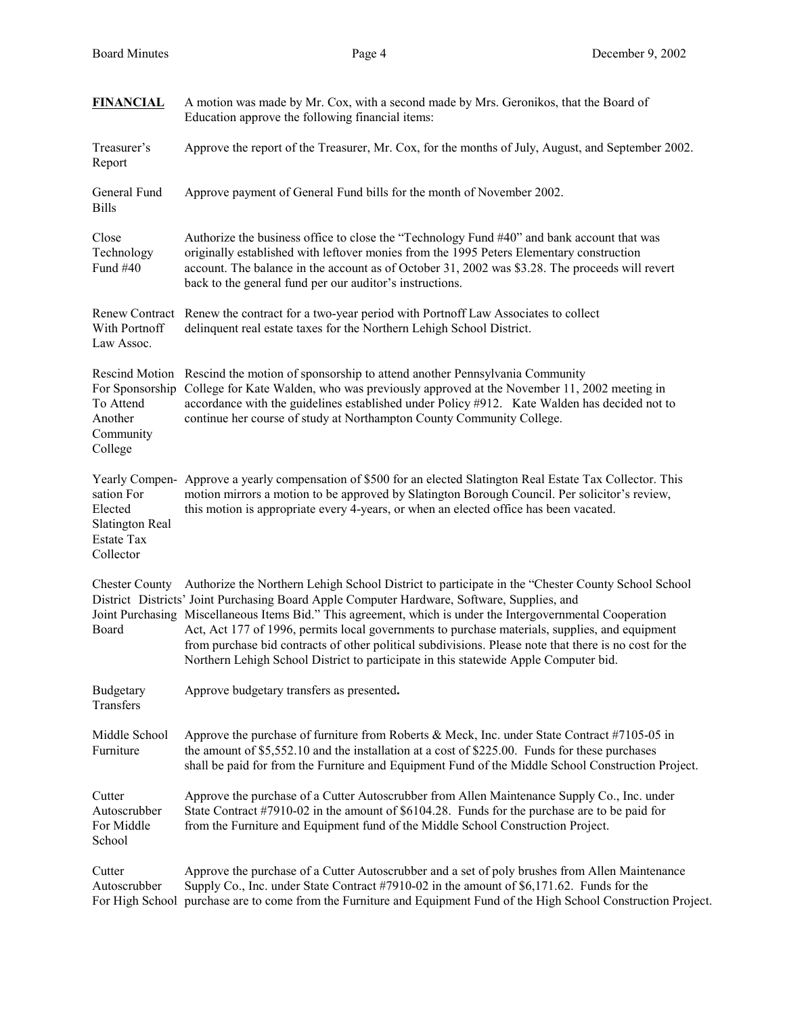| <b>FINANCIAL</b>                                                           | A motion was made by Mr. Cox, with a second made by Mrs. Geronikos, that the Board of<br>Education approve the following financial items:                                                                                                                                                                                                                                                                                                                                                                                                                                                                           |  |  |  |  |
|----------------------------------------------------------------------------|---------------------------------------------------------------------------------------------------------------------------------------------------------------------------------------------------------------------------------------------------------------------------------------------------------------------------------------------------------------------------------------------------------------------------------------------------------------------------------------------------------------------------------------------------------------------------------------------------------------------|--|--|--|--|
| Treasurer's<br>Report                                                      | Approve the report of the Treasurer, Mr. Cox, for the months of July, August, and September 2002.                                                                                                                                                                                                                                                                                                                                                                                                                                                                                                                   |  |  |  |  |
| General Fund<br><b>Bills</b>                                               | Approve payment of General Fund bills for the month of November 2002.                                                                                                                                                                                                                                                                                                                                                                                                                                                                                                                                               |  |  |  |  |
| Close<br>Technology<br>Fund #40                                            | Authorize the business office to close the "Technology Fund #40" and bank account that was<br>originally established with leftover monies from the 1995 Peters Elementary construction<br>account. The balance in the account as of October 31, 2002 was \$3.28. The proceeds will revert<br>back to the general fund per our auditor's instructions.                                                                                                                                                                                                                                                               |  |  |  |  |
| With Portnoff<br>Law Assoc.                                                | Renew Contract Renew the contract for a two-year period with Portnoff Law Associates to collect<br>delinquent real estate taxes for the Northern Lehigh School District.                                                                                                                                                                                                                                                                                                                                                                                                                                            |  |  |  |  |
| To Attend<br>Another<br>Community<br>College                               | Rescind Motion Rescind the motion of sponsorship to attend another Pennsylvania Community<br>For Sponsorship College for Kate Walden, who was previously approved at the November 11, 2002 meeting in<br>accordance with the guidelines established under Policy #912. Kate Walden has decided not to<br>continue her course of study at Northampton County Community College.                                                                                                                                                                                                                                      |  |  |  |  |
| sation For<br>Elected<br>Slatington Real<br><b>Estate Tax</b><br>Collector | Yearly Compen- Approve a yearly compensation of \$500 for an elected Slatington Real Estate Tax Collector. This<br>motion mirrors a motion to be approved by Slatington Borough Council. Per solicitor's review,<br>this motion is appropriate every 4-years, or when an elected office has been vacated.                                                                                                                                                                                                                                                                                                           |  |  |  |  |
| <b>Chester County</b><br>Board                                             | Authorize the Northern Lehigh School District to participate in the "Chester County School School<br>District Districts' Joint Purchasing Board Apple Computer Hardware, Software, Supplies, and<br>Joint Purchasing Miscellaneous Items Bid." This agreement, which is under the Intergovernmental Cooperation<br>Act, Act 177 of 1996, permits local governments to purchase materials, supplies, and equipment<br>from purchase bid contracts of other political subdivisions. Please note that there is no cost for the<br>Northern Lehigh School District to participate in this statewide Apple Computer bid. |  |  |  |  |
| Budgetary<br>Transfers                                                     | Approve budgetary transfers as presented.                                                                                                                                                                                                                                                                                                                                                                                                                                                                                                                                                                           |  |  |  |  |
| Middle School<br>Furniture                                                 | Approve the purchase of furniture from Roberts & Meck, Inc. under State Contract $#7105-05$ in<br>the amount of \$5,552.10 and the installation at a cost of \$225.00. Funds for these purchases<br>shall be paid for from the Furniture and Equipment Fund of the Middle School Construction Project.                                                                                                                                                                                                                                                                                                              |  |  |  |  |
| Cutter<br>Autoscrubber<br>For Middle<br>School                             | Approve the purchase of a Cutter Autoscrubber from Allen Maintenance Supply Co., Inc. under<br>State Contract #7910-02 in the amount of \$6104.28. Funds for the purchase are to be paid for<br>from the Furniture and Equipment fund of the Middle School Construction Project.                                                                                                                                                                                                                                                                                                                                    |  |  |  |  |
| Cutter<br>Autoscrubber                                                     | Approve the purchase of a Cutter Autoscrubber and a set of poly brushes from Allen Maintenance<br>Supply Co., Inc. under State Contract #7910-02 in the amount of \$6,171.62. Funds for the<br>For High School purchase are to come from the Furniture and Equipment Fund of the High School Construction Project.                                                                                                                                                                                                                                                                                                  |  |  |  |  |